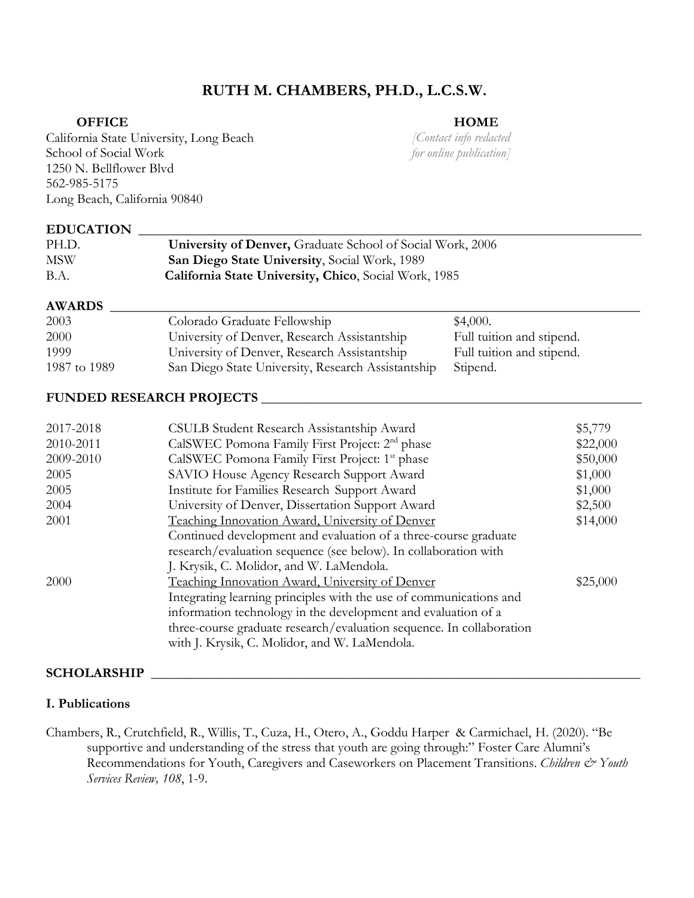# **RUTH M. CHAMBERS, PH.D., L.C.S.W.**

#### **OFFICE**

#### **HOME**

California State University, Long Beach School of Social Work 1250 N. Bellflower Blvd 562-985-5175 Long Beach, California 90840

*[Contact info redacted for online publication]*

#### $EDUCATION$

| PH.D.      | <b>University of Denver, Graduate School of Social Work, 2006</b> |
|------------|-------------------------------------------------------------------|
| <b>MSW</b> | San Diego State University, Social Work, 1989                     |
| B.A.       | California State University, Chico, Social Work, 1985             |

## **AWARDS \_\_\_\_\_\_\_\_\_\_\_\_\_\_\_\_\_\_\_\_\_\_\_\_\_\_\_\_\_\_\_\_\_\_\_\_\_\_\_\_\_\_\_\_\_\_\_\_\_\_\_\_\_\_\_\_\_\_\_\_\_\_\_\_\_\_\_\_\_\_\_\_\_\_\_\_\_\_**

| 2003         | Colorado Graduate Fellowship                       | \$4,000.                  |
|--------------|----------------------------------------------------|---------------------------|
| 2000         | University of Denver, Research Assistantship       | Full tuition and stipend. |
| 1999         | University of Denver, Research Assistantship       | Full tuition and stipend. |
| 1987 to 1989 | San Diego State University, Research Assistantship | Stipend.                  |

### **FUNDED RESEARCH PROJECTS \_\_\_\_\_\_\_\_\_\_\_\_\_\_\_\_\_\_\_\_\_\_\_\_\_\_\_\_\_\_\_\_\_\_\_\_\_\_\_\_\_\_\_\_\_\_\_\_\_\_\_\_\_\_\_\_**

| 2017-2018 | CSULB Student Research Assistantship Award                           | \$5,779  |
|-----------|----------------------------------------------------------------------|----------|
| 2010-2011 | CalSWEC Pomona Family First Project: 2 <sup>nd</sup> phase           | \$22,000 |
| 2009-2010 | CalSWEC Pomona Family First Project: 1 <sup>st</sup> phase           | \$50,000 |
| 2005      | SAVIO House Agency Research Support Award                            | \$1,000  |
| 2005      | Institute for Families Research Support Award                        | \$1,000  |
| 2004      | University of Denver, Dissertation Support Award                     | \$2,500  |
| 2001      | Teaching Innovation Award, University of Denver                      | \$14,000 |
|           | Continued development and evaluation of a three-course graduate      |          |
|           | research/evaluation sequence (see below). In collaboration with      |          |
|           | J. Krysik, C. Molidor, and W. LaMendola.                             |          |
| 2000      | Teaching Innovation Award, University of Denver                      | \$25,000 |
|           | Integrating learning principles with the use of communications and   |          |
|           | information technology in the development and evaluation of a        |          |
|           | three-course graduate research/evaluation sequence. In collaboration |          |
|           | with J. Krysik, C. Molidor, and W. LaMendola.                        |          |

#### **SCHOLARSHIP \_\_\_\_\_\_\_\_\_\_\_\_\_\_\_\_\_\_\_\_\_\_\_\_\_\_\_\_\_\_\_\_\_\_\_\_\_\_\_\_\_\_\_\_\_\_\_\_\_\_\_\_\_\_\_\_\_\_\_\_\_\_\_\_\_\_\_\_\_\_\_\_**

#### **I. Publications**

Chambers, R., Crutchfield, R., Willis, T., Cuza, H., Otero, A., Goddu Harper & Carmichael, H. (2020). "Be supportive and understanding of the stress that youth are going through:" Foster Care Alumni's Recommendations for Youth, Caregivers and Caseworkers on Placement Transitions. *Children & Youth Services Review, 108*, 1-9.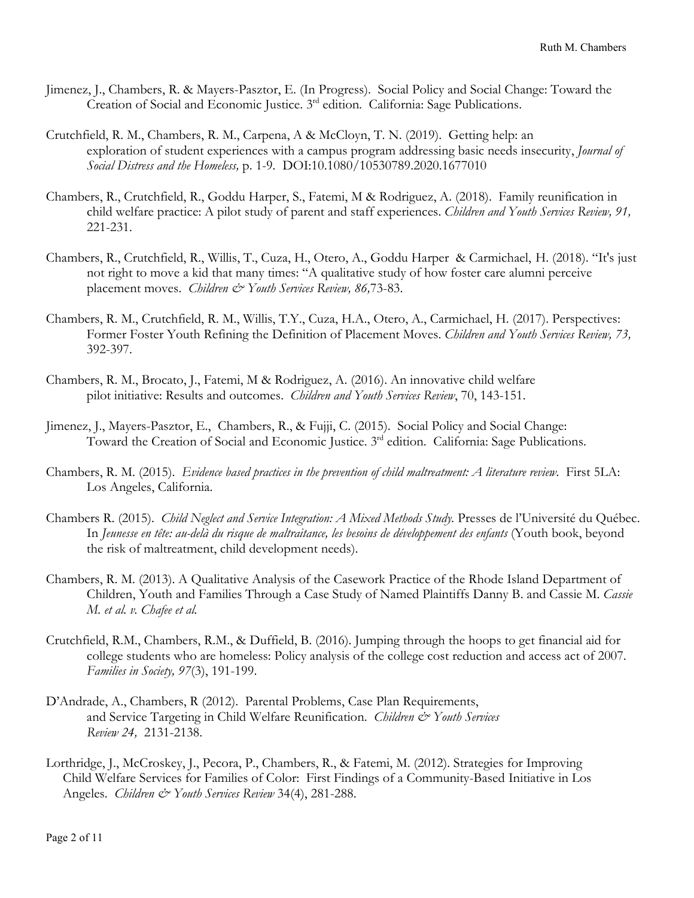- Jimenez, J., Chambers, R. & Mayers-Pasztor, E. (In Progress). Social Policy and Social Change: Toward the Creation of Social and Economic Justice. 3rd edition. California: Sage Publications.
- Crutchfield, R. M., Chambers, R. M., Carpena, A & McCloyn, T. N. (2019). Getting help: an exploration of student experiences with a campus program addressing basic needs insecurity, *Journal of Social Distress and the Homeless,* p. 1-9*.* DOI:10.1080/10530789.2020.1677010
- Chambers, R., Crutchfield, R., Goddu Harper, S., Fatemi, M & Rodriguez, A. (2018). Family reunification in child welfare practice: A pilot study of parent and staff experiences. *Children and Youth Services Review, 91,* 221-231.
- Chambers, R., Crutchfield, R., Willis, T., Cuza, H., Otero, A., Goddu Harper & Carmichael, H. (2018). "It's just not right to move a kid that many times: "A qualitative study of how foster care alumni perceive placement moves. *Children & Youth Services Review, 86,*73-83.
- Chambers, R. M., Crutchfield, R. M., Willis, T.Y., Cuza, H.A., Otero, A., Carmichael, H. (2017). Perspectives: Former Foster Youth Refining the Definition of Placement Moves. *Children and Youth Services Review, 73,*  392-397.
- Chambers, R. M., Brocato, J., Fatemi, M & Rodriguez, A. (2016). An innovative child welfare pilot initiative: Results and outcomes. *Children and Youth Services Review*, 70, 143-151.
- Jimenez, J., Mayers-Pasztor, E., Chambers, R., & Fujji, C. (2015). Social Policy and Social Change: Toward the Creation of Social and Economic Justice. 3<sup>rd</sup> edition. California: Sage Publications.
- Chambers, R. M. (2015). *Evidence based practices in the prevention of child maltreatment: A literature review.* First 5LA: Los Angeles, California.
- Chambers R. (2015). *Child Neglect and Service Integration: A Mixed Methods Study.* Presses de l'Université du Québec. In *Jeunesse en tête: au-delà du risque de maltraitance, les besoins de développement des enfants* (Youth book, beyond the risk of maltreatment, child development needs).
- Chambers, R. M. (2013). A Qualitative Analysis of the Casework Practice of the Rhode Island Department of Children, Youth and Families Through a Case Study of Named Plaintiffs Danny B. and Cassie M. *Cassie M. et al. v. Chafee et al.*
- Crutchfield, R.M., Chambers, R.M., & Duffield, B. (2016). Jumping through the hoops to get financial aid for college students who are homeless: Policy analysis of the college cost reduction and access act of 2007. *Families in Society, 97*(3), 191-199.
- D'Andrade, A., Chambers, R (2012). Parental Problems, Case Plan Requirements, and Service Targeting in Child Welfare Reunification. *Children & Youth Services Review 24,* 2131-2138.
- Lorthridge, J., McCroskey, J., Pecora, P., Chambers, R., & Fatemi, M. (2012). Strategies for Improving Child Welfare Services for Families of Color: First Findings of a Community-Based Initiative in Los Angeles. *Children & Youth Services Review* 34(4), 281-288.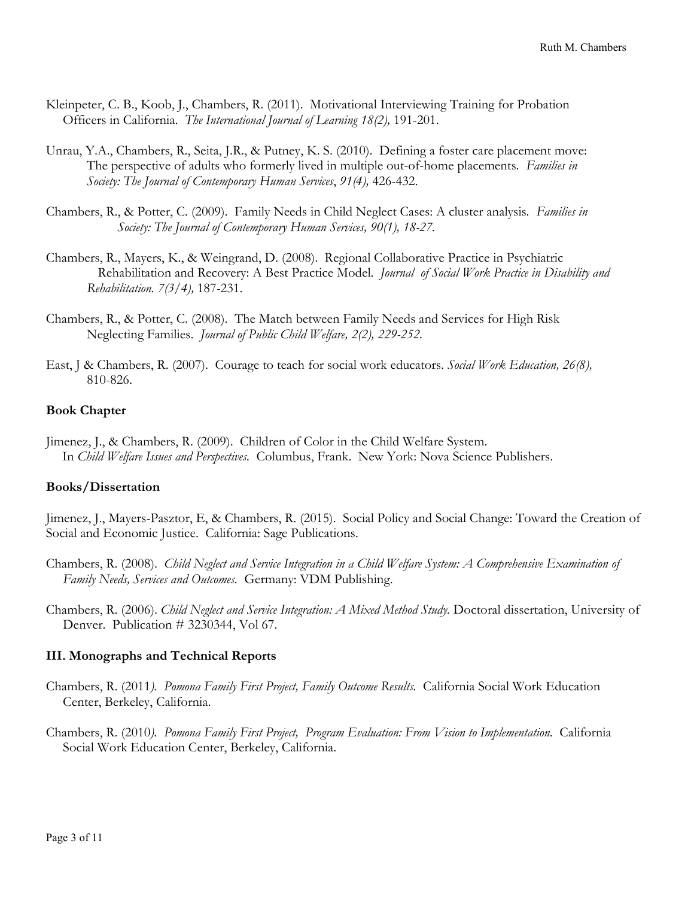- Kleinpeter, C. B., Koob, J., Chambers, R. (2011). Motivational Interviewing Training for Probation Officers in California. *The International Journal of Learning 18(2),* 191-201.
- Unrau, Y.A., Chambers, R., Seita, J.R., & Putney, K. S. (2010). Defining a foster care placement move: The perspective of adults who formerly lived in multiple out-of-home placements*. Families in Society: The Journal of Contemporary Human Services*, *91(4),* 426-432.
- Chambers, R., & Potter, C. (2009). Family Needs in Child Neglect Cases: A cluster analysis*. Families in Society: The Journal of Contemporary Human Services, 90(1), 18-27.*
- Chambers, R., Mayers, K., & Weingrand, D. (2008). Regional Collaborative Practice in Psychiatric Rehabilitation and Recovery: A Best Practice Model. *Journal of Social Work Practice in Disability and Rehabilitation. 7(3/4),* 187-231.
- Chambers, R., & Potter, C. (2008). The Match between Family Needs and Services for High Risk Neglecting Families. *Journal of Public Child Welfare, 2(2), 229-252.*
- East, J & Chambers, R. (2007). Courage to teach for social work educators. *Social Work Education, 26(8),*  810-826.

### **Book Chapter**

Jimenez, J., & Chambers, R. (2009). Children of Color in the Child Welfare System. In *Child Welfare Issues and Perspectives.* Columbus, Frank. New York: Nova Science Publishers.

#### **Books/Dissertation**

Jimenez, J., Mayers-Pasztor, E, & Chambers, R. (2015). Social Policy and Social Change: Toward the Creation of Social and Economic Justice. California: Sage Publications.

- Chambers, R. (2008). *Child Neglect and Service Integration in a Child Welfare System: A Comprehensive Examination of Family Needs, Services and Outcomes.* Germany: VDM Publishing.
- Chambers, R. (2006). *Child Neglect and Service Integration: A Mixed Method Study.* Doctoral dissertation, University of Denver. Publication # 3230344, Vol 67.

#### **III. Monographs and Technical Reports**

- Chambers, R. (2011*). Pomona Family First Project, Family Outcome Results.* California Social Work Education Center, Berkeley, California.
- Chambers, R. (2010*). Pomona Family First Project, Program Evaluation: From Vision to Implementation.* California Social Work Education Center, Berkeley, California.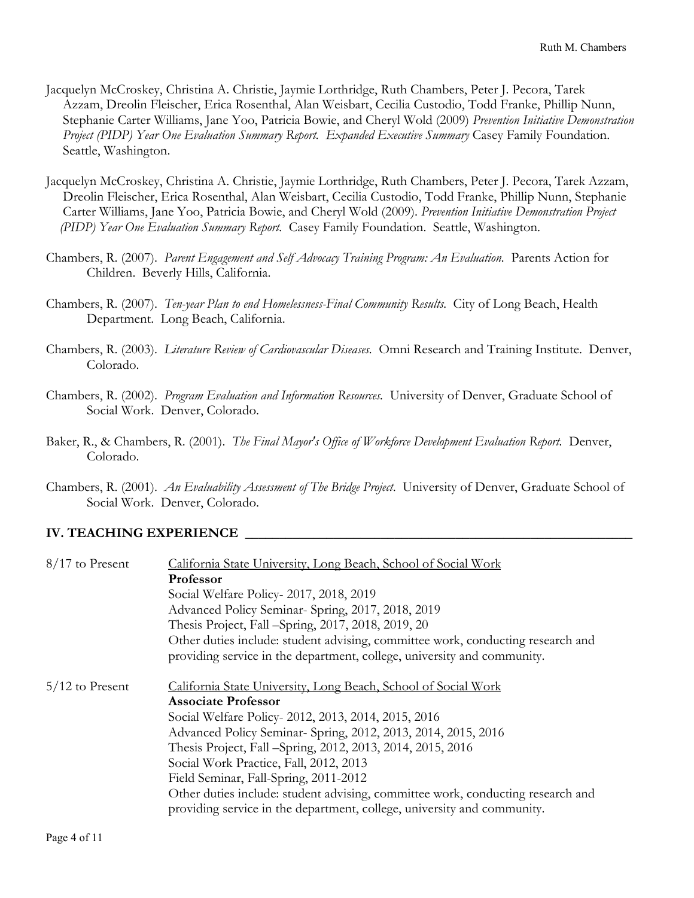- Jacquelyn McCroskey, Christina A. Christie, Jaymie Lorthridge, Ruth Chambers, Peter J. Pecora, Tarek Azzam, Dreolin Fleischer, Erica Rosenthal, Alan Weisbart, Cecilia Custodio, Todd Franke, Phillip Nunn, Stephanie Carter Williams, Jane Yoo, Patricia Bowie, and Cheryl Wold (2009) *Prevention Initiative Demonstration Project (PIDP) Year One Evaluation Summary Report. Expanded Executive Summary Casey Family Foundation.* Seattle, Washington.
- Jacquelyn McCroskey, Christina A. Christie, Jaymie Lorthridge, Ruth Chambers, Peter J. Pecora, Tarek Azzam, Dreolin Fleischer, Erica Rosenthal, Alan Weisbart, Cecilia Custodio, Todd Franke, Phillip Nunn, Stephanie Carter Williams, Jane Yoo, Patricia Bowie, and Cheryl Wold (2009). *Prevention Initiative Demonstration Project (PIDP) Year One Evaluation Summary Report.* Casey Family Foundation. Seattle, Washington.
- Chambers, R. (2007). *Parent Engagement and Self Advocacy Training Program: An Evaluation.* Parents Action for Children. Beverly Hills, California.
- Chambers, R. (2007). *Ten-year Plan to end Homelessness-Final Community Results.* City of Long Beach, Health Department. Long Beach, California.
- Chambers, R. (2003). *Literature Review of Cardiovascular Diseases.* Omni Research and Training Institute. Denver, Colorado.
- Chambers, R. (2002). *Program Evaluation and Information Resources.* University of Denver, Graduate School of Social Work. Denver, Colorado.
- Baker, R., & Chambers, R. (2001). *The Final Mayor's Office of Workforce Development Evaluation Report.* Denver, Colorado.
- Chambers, R. (2001). *An Evaluability Assessment of The Bridge Project*. University of Denver, Graduate School of Social Work. Denver, Colorado.

## **IV. TEACHING EXPERIENCE \_\_\_\_\_\_\_\_\_\_\_\_\_\_\_\_\_\_\_\_\_\_\_\_\_\_\_\_\_\_\_\_\_\_\_\_\_\_\_\_\_\_\_\_\_\_\_\_\_\_\_\_\_\_\_\_\_**

| $8/17$ to Present | California State University, Long Beach, School of Social Work                  |
|-------------------|---------------------------------------------------------------------------------|
|                   | Professor                                                                       |
|                   | Social Welfare Policy-2017, 2018, 2019                                          |
|                   | Advanced Policy Seminar-Spring, 2017, 2018, 2019                                |
|                   | Thesis Project, Fall -Spring, 2017, 2018, 2019, 20                              |
|                   | Other duties include: student advising, committee work, conducting research and |
|                   | providing service in the department, college, university and community.         |
| $5/12$ to Present | California State University, Long Beach, School of Social Work                  |
|                   | <b>Associate Professor</b>                                                      |
|                   | Social Welfare Policy-2012, 2013, 2014, 2015, 2016                              |
|                   | Advanced Policy Seminar- Spring, 2012, 2013, 2014, 2015, 2016                   |
|                   | Thesis Project, Fall -Spring, 2012, 2013, 2014, 2015, 2016                      |
|                   | Social Work Practice, Fall, 2012, 2013                                          |
|                   | Field Seminar, Fall-Spring, 2011-2012                                           |
|                   | Other duties include: student advising, committee work, conducting research and |
|                   | providing service in the department, college, university and community.         |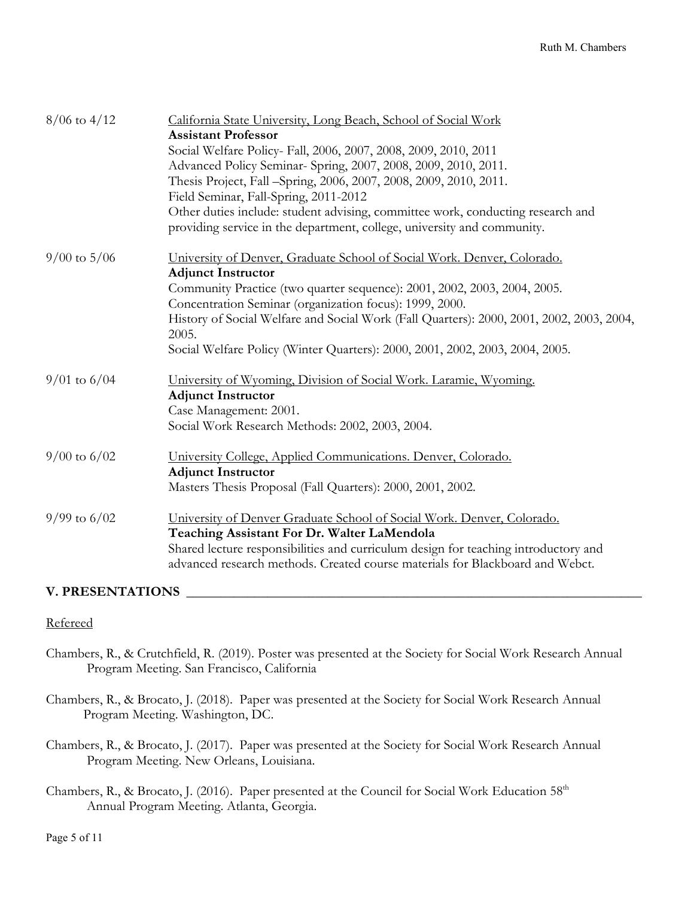| $8/06$ to $4/12$ | California State University, Long Beach, School of Social Work<br><b>Assistant Professor</b><br>Social Welfare Policy- Fall, 2006, 2007, 2008, 2009, 2010, 2011<br>Advanced Policy Seminar- Spring, 2007, 2008, 2009, 2010, 2011.<br>Thesis Project, Fall -Spring, 2006, 2007, 2008, 2009, 2010, 2011.<br>Field Seminar, Fall-Spring, 2011-2012<br>Other duties include: student advising, committee work, conducting research and |
|------------------|------------------------------------------------------------------------------------------------------------------------------------------------------------------------------------------------------------------------------------------------------------------------------------------------------------------------------------------------------------------------------------------------------------------------------------|
|                  | providing service in the department, college, university and community.                                                                                                                                                                                                                                                                                                                                                            |
| $9/00$ to $5/06$ | University of Denver, Graduate School of Social Work. Denver, Colorado.<br><b>Adjunct Instructor</b><br>Community Practice (two quarter sequence): 2001, 2002, 2003, 2004, 2005.<br>Concentration Seminar (organization focus): 1999, 2000.<br>History of Social Welfare and Social Work (Fall Quarters): 2000, 2001, 2002, 2003, 2004,<br>2005.<br>Social Welfare Policy (Winter Quarters): 2000, 2001, 2002, 2003, 2004, 2005.   |
| $9/01$ to $6/04$ | University of Wyoming, Division of Social Work. Laramie, Wyoming.<br><b>Adjunct Instructor</b><br>Case Management: 2001.<br>Social Work Research Methods: 2002, 2003, 2004.                                                                                                                                                                                                                                                        |
| $9/00$ to $6/02$ | University College, Applied Communications. Denver, Colorado.<br><b>Adjunct Instructor</b><br>Masters Thesis Proposal (Fall Quarters): 2000, 2001, 2002.                                                                                                                                                                                                                                                                           |
| $9/99$ to $6/02$ | University of Denver Graduate School of Social Work. Denver, Colorado.<br>Teaching Assistant For Dr. Walter LaMendola<br>Shared lecture responsibilities and curriculum design for teaching introductory and<br>advanced research methods. Created course materials for Blackboard and Webct.                                                                                                                                      |

### **V. PRESENTATIONS \_\_\_\_\_\_\_\_\_\_\_\_\_\_\_\_\_\_\_\_\_\_\_\_\_\_\_\_\_\_\_\_\_\_\_\_\_\_\_\_\_\_\_\_\_\_\_\_\_\_\_\_\_\_\_\_\_\_\_\_\_\_\_\_\_\_\_**

#### Refereed

Chambers, R., & Crutchfield, R. (2019). Poster was presented at the Society for Social Work Research Annual Program Meeting. San Francisco, California

Chambers, R., & Brocato, J. (2018). Paper was presented at the Society for Social Work Research Annual Program Meeting. Washington, DC.

- Chambers, R., & Brocato, J. (2017). Paper was presented at the Society for Social Work Research Annual Program Meeting. New Orleans, Louisiana.
- Chambers, R., & Brocato, J. (2016). Paper presented at the Council for Social Work Education 58<sup>th</sup> Annual Program Meeting. Atlanta, Georgia.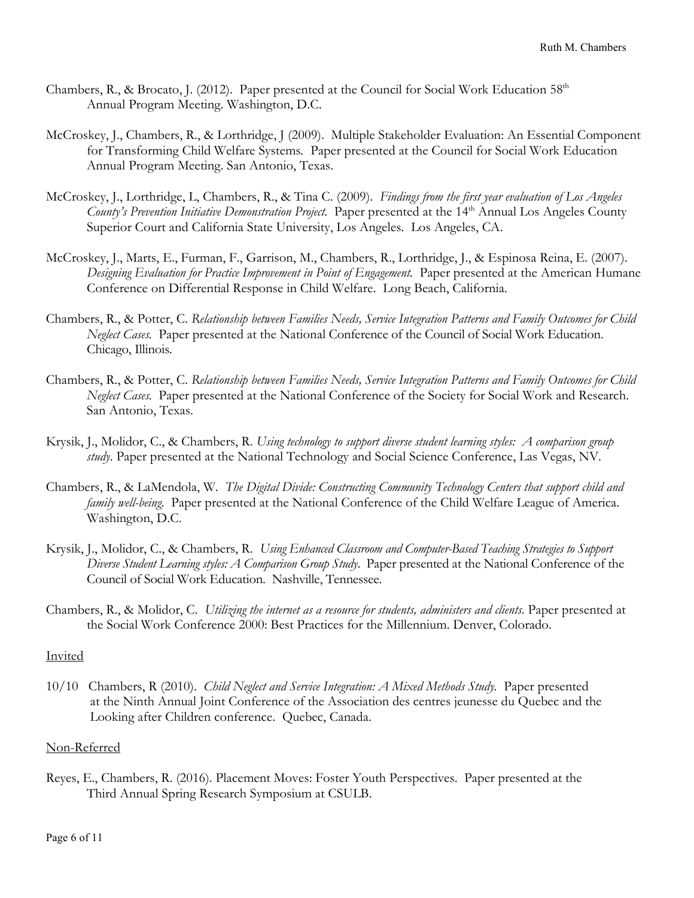- Chambers, R., & Brocato, J. (2012). Paper presented at the Council for Social Work Education 58<sup>th</sup> Annual Program Meeting. Washington, D.C.
- McCroskey, J., Chambers, R., & Lorthridge, J (2009). Multiple Stakeholder Evaluation: An Essential Component for Transforming Child Welfare Systems*.* Paper presented at the Council for Social Work Education Annual Program Meeting. San Antonio, Texas.
- McCroskey, J., Lorthridge, L, Chambers, R., & Tina C. (2009). *Findings from the first year evaluation of Los Angeles County's Prevention Initiative Demonstration Project.* Paper presented at the 14<sup>th</sup> Annual Los Angeles County Superior Court and California State University, Los Angeles. Los Angeles, CA.
- McCroskey, J., Marts, E., Furman, F., Garrison, M., Chambers, R., Lorthridge, J., & Espinosa Reina, E. (2007). *Designing Evaluation for Practice Improvement in Point of Engagement.* Paper presented at the American Humane Conference on Differential Response in Child Welfare. Long Beach, California.
- Chambers, R., & Potter, C. *Relationship between Families Needs, Service Integration Patterns and Family Outcomes for Child Neglect Cases.* Paper presented at the National Conference of the Council of Social Work Education. Chicago, Illinois.
- Chambers, R., & Potter, C. *Relationship between Families Needs, Service Integration Patterns and Family Outcomes for Child Neglect Cases.* Paper presented at the National Conference of the Society for Social Work and Research. San Antonio, Texas.
- Krysik, J., Molidor, C., & Chambers, R. *Using technology to support diverse student learning styles: A comparison group study*. Paper presented at the National Technology and Social Science Conference, Las Vegas, NV.
- Chambers, R., & LaMendola, W. *The Digital Divide: Constructing Community Technology Centers that support child and family well-being.* Paper presented at the National Conference of the Child Welfare League of America. Washington, D.C.
- Krysik, J., Molidor, C., & Chambers, R. *Using Enhanced Classroom and Computer-Based Teaching Strategies to Support Diverse Student Learning styles: A Comparison Group Study*. Paper presented at the National Conference of the Council of Social Work Education. Nashville, Tennessee.
- Chambers, R., & Molidor, C. *Utilizing the internet as a resource for students, administers and clients.* Paper presented at the Social Work Conference 2000: Best Practices for the Millennium. Denver, Colorado.

### Invited

10/10 Chambers, R (2010). *Child Neglect and Service Integration: A Mixed Methods Study.* Paper presented at the Ninth Annual Joint Conference of the Association des centres jeunesse du Quebec and the Looking after Children conference. Quebec, Canada.

### Non-Referred

Reyes, E., Chambers, R. (2016). Placement Moves: Foster Youth Perspectives. Paper presented at the Third Annual Spring Research Symposium at CSULB.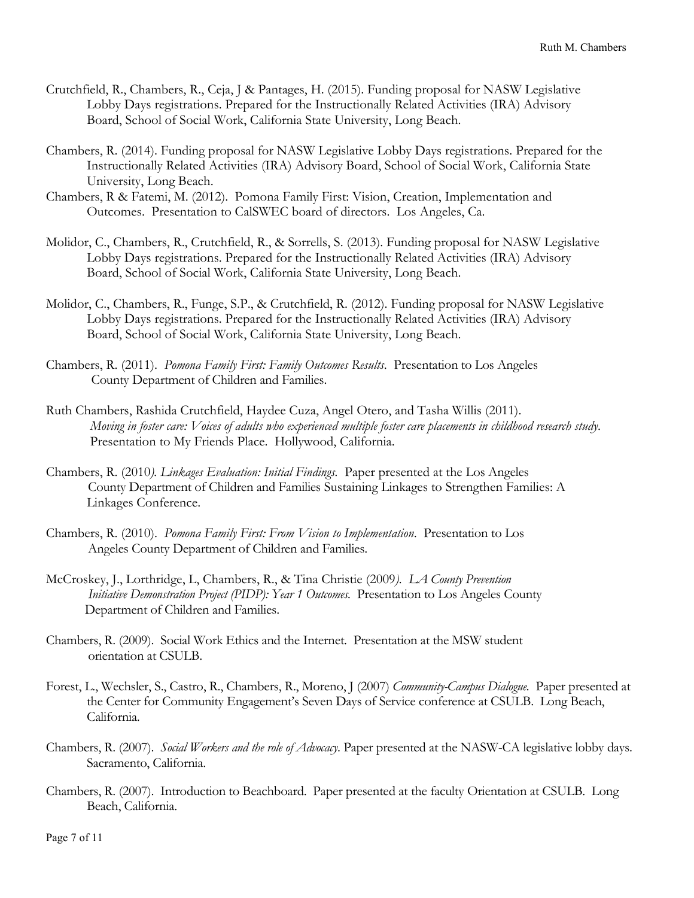- Crutchfield, R., Chambers, R., Ceja, J & Pantages, H. (2015). Funding proposal for NASW Legislative Lobby Days registrations. Prepared for the Instructionally Related Activities (IRA) Advisory Board, School of Social Work, California State University, Long Beach.
- Chambers, R. (2014). Funding proposal for NASW Legislative Lobby Days registrations. Prepared for the Instructionally Related Activities (IRA) Advisory Board, School of Social Work, California State University, Long Beach.
- Chambers, R & Fatemi, M. (2012). Pomona Family First: Vision, Creation, Implementation and Outcomes. Presentation to CalSWEC board of directors. Los Angeles, Ca.
- Molidor, C., Chambers, R., Crutchfield, R., & Sorrells, S. (2013). Funding proposal for NASW Legislative Lobby Days registrations. Prepared for the Instructionally Related Activities (IRA) Advisory Board, School of Social Work, California State University, Long Beach.
- Molidor, C., Chambers, R., Funge, S.P., & Crutchfield, R. (2012). Funding proposal for NASW Legislative Lobby Days registrations. Prepared for the Instructionally Related Activities (IRA) Advisory Board, School of Social Work, California State University, Long Beach.
- Chambers, R. (2011). *Pomona Family First: Family Outcomes Results*. Presentation to Los Angeles County Department of Children and Families.
- Ruth Chambers, Rashida Crutchfield, Haydee Cuza, Angel Otero, and Tasha Willis (2011). *Moving in foster care: Voices of adults who experienced multiple foster care placements in childhood research study*. Presentation to My Friends Place. Hollywood, California.
- Chambers, R. (2010*). Linkages Evaluation: Initial Findings.* Paper presented at the Los Angeles County Department of Children and Families Sustaining Linkages to Strengthen Families: A Linkages Conference.
- Chambers, R. (2010). *Pomona Family First: From Vision to Implementation*. Presentation to Los Angeles County Department of Children and Families.
- McCroskey, J., Lorthridge, L, Chambers, R., & Tina Christie (2009*). LA County Prevention Initiative Demonstration Project (PIDP): Year 1 Outcomes.* Presentation to Los Angeles County Department of Children and Families.
- Chambers, R. (2009). Social Work Ethics and the Internet. Presentation at the MSW student orientation at CSULB.
- Forest, L., Wechsler, S., Castro, R., Chambers, R., Moreno, J (2007) *Community-Campus Dialogue.* Paper presented at the Center for Community Engagement's Seven Days of Service conference at CSULB. Long Beach, California.
- Chambers, R. (2007). *Social Workers and the role of Advocacy*. Paper presented at the NASW-CA legislative lobby days. Sacramento, California.
- Chambers, R. (2007). Introduction to Beachboard. Paper presented at the faculty Orientation at CSULB. Long Beach, California.

Page 7 of 11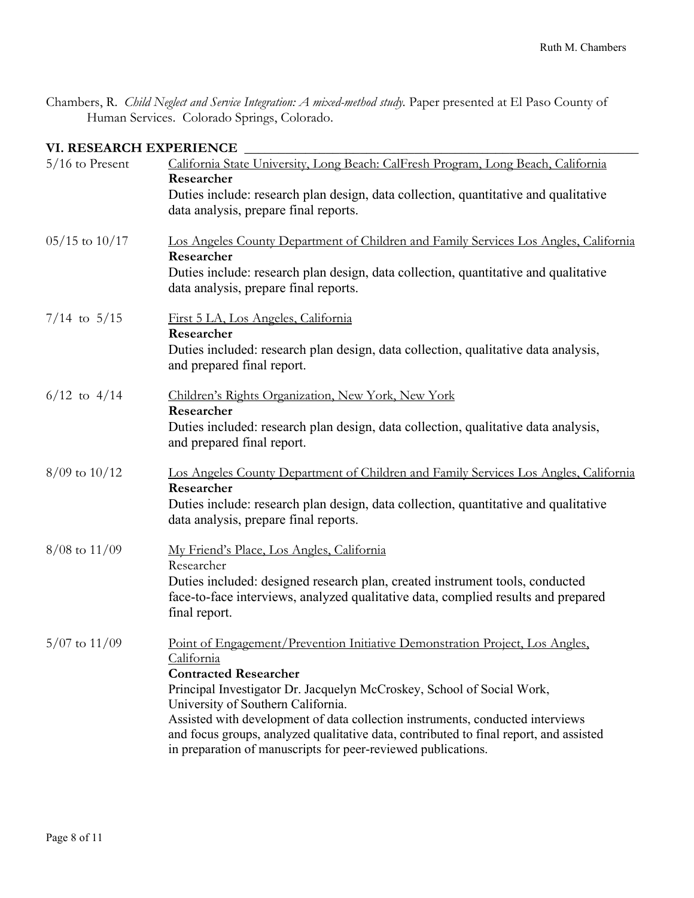Chambers, R. *Child Neglect and Service Integration: A mixed-method study.* Paper presented at El Paso County of Human Services. Colorado Springs, Colorado.

## **VI. RESEARCH EXPERIENCE \_\_\_\_\_\_\_\_\_\_\_\_\_\_\_\_\_\_\_\_\_\_\_\_\_\_\_\_\_\_\_\_\_\_\_\_\_\_\_\_\_\_\_\_\_\_\_\_\_\_\_\_\_\_\_\_\_\_**

| $5/16$ to Present  | California State University, Long Beach: CalFresh Program, Long Beach, California<br>Researcher                                                                                                                                           |
|--------------------|-------------------------------------------------------------------------------------------------------------------------------------------------------------------------------------------------------------------------------------------|
|                    | Duties include: research plan design, data collection, quantitative and qualitative<br>data analysis, prepare final reports.                                                                                                              |
| $05/15$ to $10/17$ | Los Angeles County Department of Children and Family Services Los Angles, California<br>Researcher                                                                                                                                        |
|                    | Duties include: research plan design, data collection, quantitative and qualitative<br>data analysis, prepare final reports.                                                                                                              |
| $7/14$ to $5/15$   | First 5 LA, Los Angeles, California<br>Researcher                                                                                                                                                                                         |
|                    | Duties included: research plan design, data collection, qualitative data analysis,<br>and prepared final report.                                                                                                                          |
| $6/12$ to $4/14$   | Children's Rights Organization, New York, New York<br>Researcher                                                                                                                                                                          |
|                    | Duties included: research plan design, data collection, qualitative data analysis,<br>and prepared final report.                                                                                                                          |
| $8/09$ to $10/12$  | Los Angeles County Department of Children and Family Services Los Angles, California<br>Researcher                                                                                                                                        |
|                    | Duties include: research plan design, data collection, quantitative and qualitative<br>data analysis, prepare final reports.                                                                                                              |
| $8/08$ to $11/09$  | My Friend's Place, Los Angles, California<br>Researcher                                                                                                                                                                                   |
|                    | Duties included: designed research plan, created instrument tools, conducted<br>face-to-face interviews, analyzed qualitative data, complied results and prepared<br>final report.                                                        |
| $5/07$ to $11/09$  | Point of Engagement/Prevention Initiative Demonstration Project, Los Angles,<br>California                                                                                                                                                |
|                    | <b>Contracted Researcher</b><br>Principal Investigator Dr. Jacquelyn McCroskey, School of Social Work,<br>University of Southern California.                                                                                              |
|                    | Assisted with development of data collection instruments, conducted interviews<br>and focus groups, analyzed qualitative data, contributed to final report, and assisted<br>in preparation of manuscripts for peer-reviewed publications. |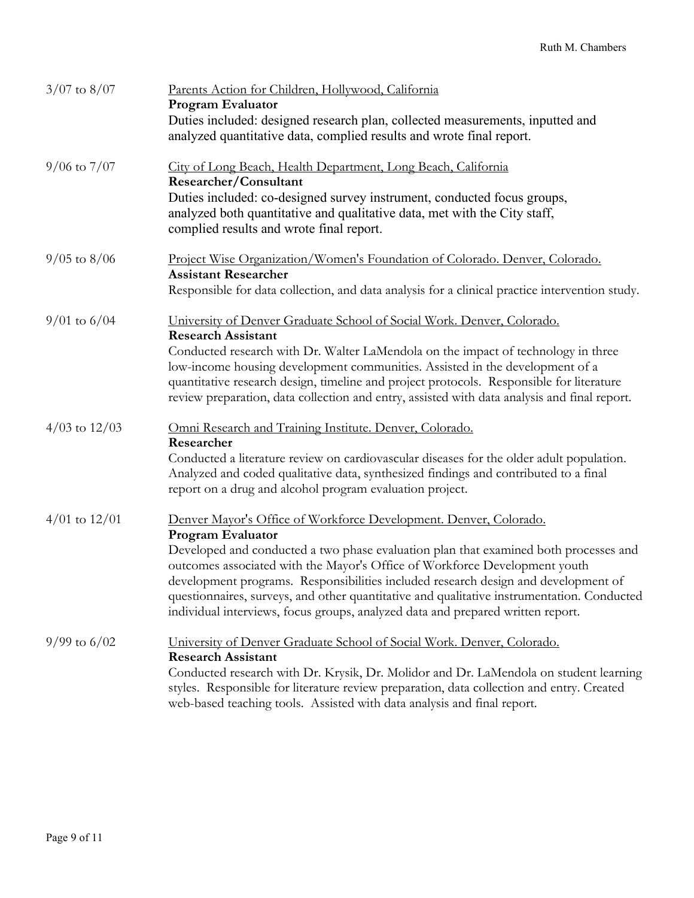| $3/07$ to $8/07$  | Parents Action for Children, Hollywood, California<br><b>Program Evaluator</b>                                                                                                                                                                                           |
|-------------------|--------------------------------------------------------------------------------------------------------------------------------------------------------------------------------------------------------------------------------------------------------------------------|
|                   | Duties included: designed research plan, collected measurements, inputted and<br>analyzed quantitative data, complied results and wrote final report.                                                                                                                    |
| $9/06$ to $7/07$  | City of Long Beach, Health Department, Long Beach, California<br>Researcher/Consultant                                                                                                                                                                                   |
|                   | Duties included: co-designed survey instrument, conducted focus groups,<br>analyzed both quantitative and qualitative data, met with the City staff,<br>complied results and wrote final report.                                                                         |
| $9/05$ to $8/06$  | Project Wise Organization/Women's Foundation of Colorado. Denver, Colorado.                                                                                                                                                                                              |
|                   | <b>Assistant Researcher</b><br>Responsible for data collection, and data analysis for a clinical practice intervention study.                                                                                                                                            |
| $9/01$ to $6/04$  | University of Denver Graduate School of Social Work. Denver, Colorado.<br><b>Research Assistant</b>                                                                                                                                                                      |
|                   | Conducted research with Dr. Walter LaMendola on the impact of technology in three                                                                                                                                                                                        |
|                   | low-income housing development communities. Assisted in the development of a<br>quantitative research design, timeline and project protocols. Responsible for literature<br>review preparation, data collection and entry, assisted with data analysis and final report. |
| $4/03$ to $12/03$ | Omni Research and Training Institute. Denver, Colorado.<br>Researcher                                                                                                                                                                                                    |
|                   | Conducted a literature review on cardiovascular diseases for the older adult population.<br>Analyzed and coded qualitative data, synthesized findings and contributed to a final<br>report on a drug and alcohol program evaluation project.                             |
| $4/01$ to $12/01$ | Denver Mayor's Office of Workforce Development. Denver, Colorado.                                                                                                                                                                                                        |
|                   | <b>Program Evaluator</b><br>Developed and conducted a two phase evaluation plan that examined both processes and                                                                                                                                                         |
|                   | outcomes associated with the Mayor's Office of Workforce Development youth                                                                                                                                                                                               |
|                   | development programs. Responsibilities included research design and development of<br>questionnaires, surveys, and other quantitative and qualitative instrumentation. Conducted                                                                                         |
|                   | individual interviews, focus groups, analyzed data and prepared written report.                                                                                                                                                                                          |
| $9/99$ to $6/02$  | University of Denver Graduate School of Social Work. Denver, Colorado.                                                                                                                                                                                                   |
|                   | <b>Research Assistant</b><br>Conducted research with Dr. Krysik, Dr. Molidor and Dr. LaMendola on student learning                                                                                                                                                       |
|                   | styles. Responsible for literature review preparation, data collection and entry. Created<br>web-based teaching tools. Assisted with data analysis and final report.                                                                                                     |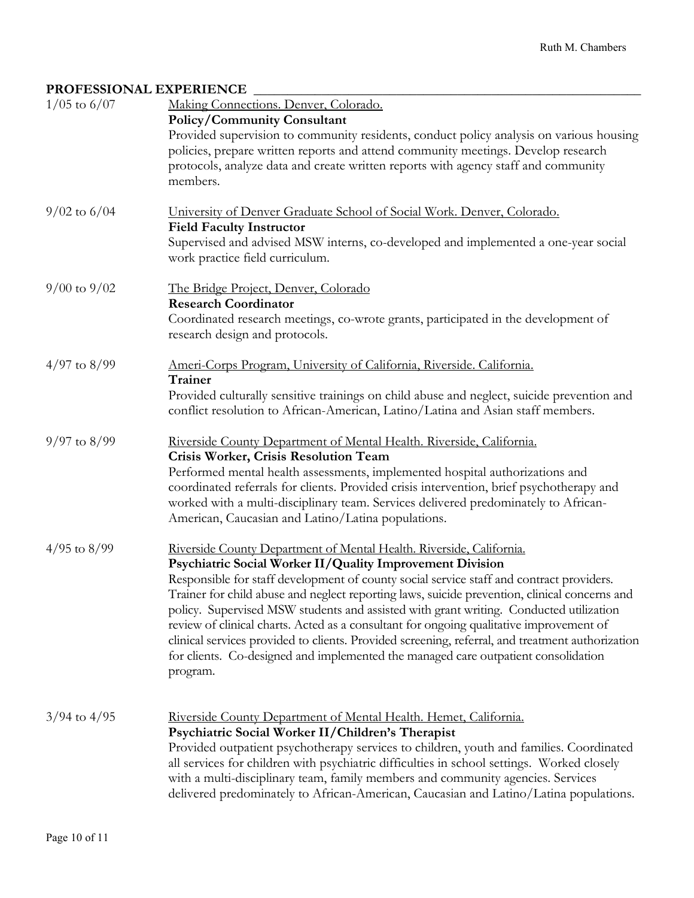## PROFESSIONAL EXPERIENCE

| $1/05$ to $6/07$ | Making Connections. Denver, Colorado.<br><b>Policy/Community Consultant</b>                                                                                                                                                                                                                                           |
|------------------|-----------------------------------------------------------------------------------------------------------------------------------------------------------------------------------------------------------------------------------------------------------------------------------------------------------------------|
|                  | Provided supervision to community residents, conduct policy analysis on various housing<br>policies, prepare written reports and attend community meetings. Develop research<br>protocols, analyze data and create written reports with agency staff and community                                                    |
|                  | members.                                                                                                                                                                                                                                                                                                              |
| $9/02$ to $6/04$ | University of Denver Graduate School of Social Work. Denver, Colorado.<br><b>Field Faculty Instructor</b>                                                                                                                                                                                                             |
|                  | Supervised and advised MSW interns, co-developed and implemented a one-year social<br>work practice field curriculum.                                                                                                                                                                                                 |
| $9/00$ to $9/02$ | The Bridge Project, Denver, Colorado<br><b>Research Coordinator</b>                                                                                                                                                                                                                                                   |
|                  | Coordinated research meetings, co-wrote grants, participated in the development of<br>research design and protocols.                                                                                                                                                                                                  |
| $4/97$ to $8/99$ | Ameri-Corps Program, University of California, Riverside. California.<br>Trainer                                                                                                                                                                                                                                      |
|                  | Provided culturally sensitive trainings on child abuse and neglect, suicide prevention and<br>conflict resolution to African-American, Latino/Latina and Asian staff members.                                                                                                                                         |
| $9/97$ to $8/99$ | Riverside County Department of Mental Health. Riverside, California.<br>Crisis Worker, Crisis Resolution Team                                                                                                                                                                                                         |
|                  | Performed mental health assessments, implemented hospital authorizations and<br>coordinated referrals for clients. Provided crisis intervention, brief psychotherapy and<br>worked with a multi-disciplinary team. Services delivered predominately to African-<br>American, Caucasian and Latino/Latina populations. |
| $4/95$ to $8/99$ | Riverside County Department of Mental Health. Riverside, California.                                                                                                                                                                                                                                                  |
|                  | Psychiatric Social Worker II/Quality Improvement Division<br>Responsible for staff development of county social service staff and contract providers.                                                                                                                                                                 |
|                  | Trainer for child abuse and neglect reporting laws, suicide prevention, clinical concerns and<br>policy. Supervised MSW students and assisted with grant writing. Conducted utilization                                                                                                                               |
|                  | review of clinical charts. Acted as a consultant for ongoing qualitative improvement of<br>clinical services provided to clients. Provided screening, referral, and treatment authorization<br>for clients. Co-designed and implemented the managed care outpatient consolidation<br>program.                         |
|                  |                                                                                                                                                                                                                                                                                                                       |
| $3/94$ to $4/95$ | Riverside County Department of Mental Health. Hemet, California.<br>Psychiatric Social Worker II/Children's Therapist                                                                                                                                                                                                 |
|                  | Provided outpatient psychotherapy services to children, youth and families. Coordinated<br>all services for children with psychiatric difficulties in school settings. Worked closely                                                                                                                                 |
|                  | with a multi-disciplinary team, family members and community agencies. Services<br>delivered predominately to African-American, Caucasian and Latino/Latina populations.                                                                                                                                              |